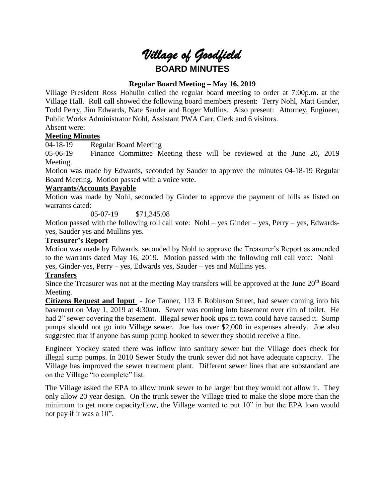# *Village of Goodfield* **BOARD MINUTES**

# **Regular Board Meeting – May 16, 2019**

Village President Ross Hohulin called the regular board meeting to order at 7:00p.m. at the Village Hall. Roll call showed the following board members present: Terry Nohl, Matt Ginder, Todd Perry, Jim Edwards, Nate Sauder and Roger Mullins. Also present: Attorney, Engineer, Public Works Administrator Nohl, Assistant PWA Carr, Clerk and 6 visitors.

#### Absent were: **Meeting Minutes**

04-18-19 Regular Board Meeting

05-06-19 Finance Committee Meeting–these will be reviewed at the June 20, 2019 Meeting.

Motion was made by Edwards, seconded by Sauder to approve the minutes 04-18-19 Regular Board Meeting. Motion passed with a voice vote.

# **Warrants/Accounts Payable**

Motion was made by Nohl, seconded by Ginder to approve the payment of bills as listed on warrants dated:

05-07-19 \$71,345.08

Motion passed with the following roll call vote: Nohl – yes Ginder – yes, Perry – yes, Edwardsyes, Sauder yes and Mullins yes.

#### **Treasurer's Report**

Motion was made by Edwards, seconded by Nohl to approve the Treasurer's Report as amended to the warrants dated May 16, 2019. Motion passed with the following roll call vote: Nohl – yes, Ginder-yes, Perry – yes, Edwards yes, Sauder – yes and Mullins yes.

# **Transfers**

Since the Treasurer was not at the meeting May transfers will be approved at the June 20<sup>th</sup> Board Meeting.

**Citizens Request and Input** - Joe Tanner, 113 E Robinson Street, had sewer coming into his basement on May 1, 2019 at 4:30am. Sewer was coming into basement over rim of toilet. He had 2" sewer covering the basement. Illegal sewer hook ups in town could have caused it. Sump pumps should not go into Village sewer. Joe has over \$2,000 in expenses already. Joe also suggested that if anyone has sump pump hooked to sewer they should receive a fine.

Engineer Yockey stated there was inflow into sanitary sewer but the Village does check for illegal sump pumps. In 2010 Sewer Study the trunk sewer did not have adequate capacity. The Village has improved the sewer treatment plant. Different sewer lines that are substandard are on the Village "to complete" list.

The Village asked the EPA to allow trunk sewer to be larger but they would not allow it. They only allow 20 year design. On the trunk sewer the Village tried to make the slope more than the minimum to get more capacity/flow, the Village wanted to put 10" in but the EPA loan would not pay if it was a 10".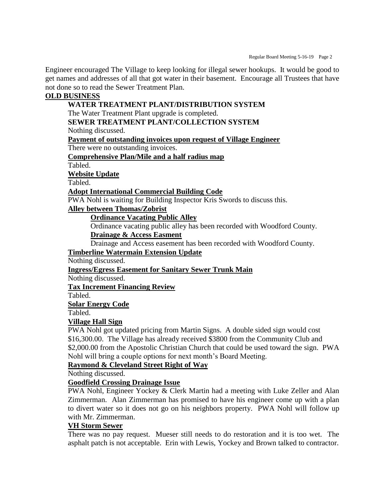Engineer encouraged The Village to keep looking for illegal sewer hookups. It would be good to get names and addresses of all that got water in their basement. Encourage all Trustees that have not done so to read the Sewer Treatment Plan.

# **OLD BUSINESS**

**WATER TREATMENT PLANT/DISTRIBUTION SYSTEM** The Water Treatment Plant upgrade is completed. **SEWER TREATMENT PLANT/COLLECTION SYSTEM** Nothing discussed. **Payment of outstanding invoices upon request of Village Engineer** There were no outstanding invoices. **Comprehensive Plan/Mile and a half radius map** Tabled. **Website Update** Tabled. **Adopt International Commercial Building Code** PWA Nohl is waiting for Building Inspector Kris Swords to discuss this. **Alley between Thomas/Zobrist Ordinance Vacating Public Alley** Ordinance vacating public alley has been recorded with Woodford County. **Drainage & Access Easment** Drainage and Access easement has been recorded with Woodford County. **Timberline Watermain Extension Update** Nothing discussed. **Ingress/Egress Easement for Sanitary Sewer Trunk Main** Nothing discussed. **Tax Increment Financing Review** Tabled. **Solar Energy Code** Tabled. **Village Hall Sign** PWA Nohl got updated pricing from Martin Signs. A double sided sign would cost \$16,300.00. The Village has already received \$3800 from the Community Club and \$2,000.00 from the Apostolic Christian Church that could be used toward the sign. PWA Nohl will bring a couple options for next month's Board Meeting. **Raymond & Cleveland Street Right of Way**

Nothing discussed.

# **Goodfield Crossing Drainage Issue**

PWA Nohl, Engineer Yockey & Clerk Martin had a meeting with Luke Zeller and Alan Zimmerman. Alan Zimmerman has promised to have his engineer come up with a plan to divert water so it does not go on his neighbors property. PWA Nohl will follow up with Mr. Zimmerman.

# **VH Storm Sewer**

There was no pay request. Mueser still needs to do restoration and it is too wet. The asphalt patch is not acceptable. Erin with Lewis, Yockey and Brown talked to contractor.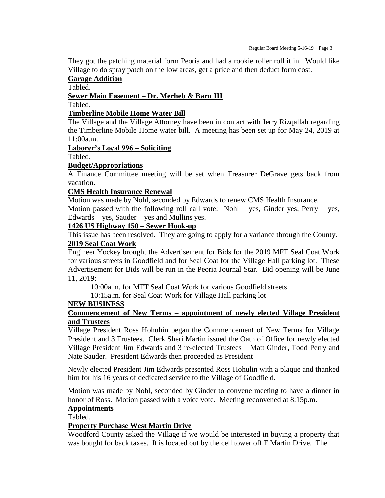They got the patching material form Peoria and had a rookie roller roll it in. Would like Village to do spray patch on the low areas, get a price and then deduct form cost.

#### **Garage Addition**

Tabled.

# **Sewer Main Easement – Dr. Merheb & Barn III**

Tabled.

#### **Timberline Mobile Home Water Bill**

The Village and the Village Attorney have been in contact with Jerry Rizqallah regarding the Timberline Mobile Home water bill. A meeting has been set up for May 24, 2019 at 11:00a.m.

# **Laborer's Local 996 – Soliciting**

Tabled.

#### **Budget/Appropriations**

A Finance Committee meeting will be set when Treasurer DeGrave gets back from vacation.

#### **CMS Health Insurance Renewal**

Motion was made by Nohl, seconded by Edwards to renew CMS Health Insurance.

Motion passed with the following roll call vote: Nohl – yes, Ginder yes, Perry – yes, Edwards – yes, Sauder – yes and Mullins yes.

#### **1426 US Highway 150 – Sewer Hook-up**

This issue has been resolved. They are going to apply for a variance through the County.

# **2019 Seal Coat Work**

Engineer Yockey brought the Advertisement for Bids for the 2019 MFT Seal Coat Work for various streets in Goodfield and for Seal Coat for the Village Hall parking lot. These Advertisement for Bids will be run in the Peoria Journal Star. Bid opening will be June 11, 2019:

10:00a.m. for MFT Seal Coat Work for various Goodfield streets

10:15a.m. for Seal Coat Work for Village Hall parking lot

#### **NEW BUSINESS**

# **Commencement of New Terms – appointment of newly elected Village President and Trustees**

Village President Ross Hohuhin began the Commencement of New Terms for Village President and 3 Trustees. Clerk Sheri Martin issued the Oath of Office for newly elected Village President Jim Edwards and 3 re-elected Trustees – Matt Ginder, Todd Perry and Nate Sauder. President Edwards then proceeded as President

Newly elected President Jim Edwards presented Ross Hohulin with a plaque and thanked him for his 16 years of dedicated service to the Village of Goodfield.

Motion was made by Nohl, seconded by Ginder to convene meeting to have a dinner in honor of Ross. Motion passed with a voice vote. Meeting reconvened at 8:15p.m.

# **Appointments**

Tabled.

#### **Property Purchase West Martin Drive**

Woodford County asked the Village if we would be interested in buying a property that was bought for back taxes. It is located out by the cell tower off E Martin Drive. The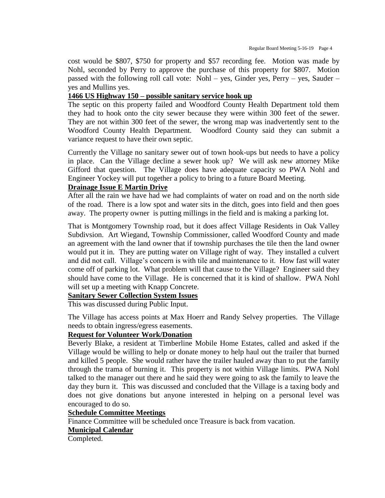cost would be \$807, \$750 for property and \$57 recording fee. Motion was made by Nohl, seconded by Perry to approve the purchase of this property for \$807. Motion passed with the following roll call vote: Nohl – yes, Ginder yes, Perry – yes, Sauder – yes and Mullins yes.

### **1466 US Highway 150 – possible sanitary service hook up**

The septic on this property failed and Woodford County Health Department told them they had to hook onto the city sewer because they were within 300 feet of the sewer. They are not within 300 feet of the sewer, the wrong map was inadvertently sent to the Woodford County Health Department. Woodford County said they can submit a variance request to have their own septic.

Currently the Village no sanitary sewer out of town hook-ups but needs to have a policy in place. Can the Village decline a sewer hook up? We will ask new attorney Mike Gifford that question. The Village does have adequate capacity so PWA Nohl and Engineer Yockey will put together a policy to bring to a future Board Meeting.

# **Drainage Issue E Martin Drive**

After all the rain we have had we had complaints of water on road and on the north side of the road. There is a low spot and water sits in the ditch, goes into field and then goes away. The property owner is putting millings in the field and is making a parking lot.

That is Montgomery Township road, but it does affect Village Residents in Oak Valley Subdivsion. Art Wiegand, Township Commissioner, called Woodford County and made an agreement with the land owner that if township purchases the tile then the land owner would put it in. They are putting water on Village right of way. They installed a culvert and did not call. Village's concern is with tile and maintenance to it. How fast will water come off of parking lot. What problem will that cause to the Village? Engineer said they should have come to the Village. He is concerned that it is kind of shallow. PWA Nohl will set up a meeting with Knapp Concrete.

#### **Sanitary Sewer Collection System Issues**

This was discussed during Public Input.

The Village has access points at Max Hoerr and Randy Selvey properties. The Village needs to obtain ingress/egress easements.

# **Request for Volunteer Work/Donation**

Beverly Blake, a resident at Timberline Mobile Home Estates, called and asked if the Village would be willing to help or donate money to help haul out the trailer that burned and killed 5 people. She would rather have the trailer hauled away than to put the family through the trama of burning it. This property is not within Village limits. PWA Nohl talked to the manager out there and he said they were going to ask the family to leave the day they burn it. This was discussed and concluded that the Village is a taxing body and does not give donations but anyone interested in helping on a personal level was encouraged to do so.

#### **Schedule Committee Meetings**

Finance Committee will be scheduled once Treasure is back from vacation.

# **Municipal Calendar**

Completed.